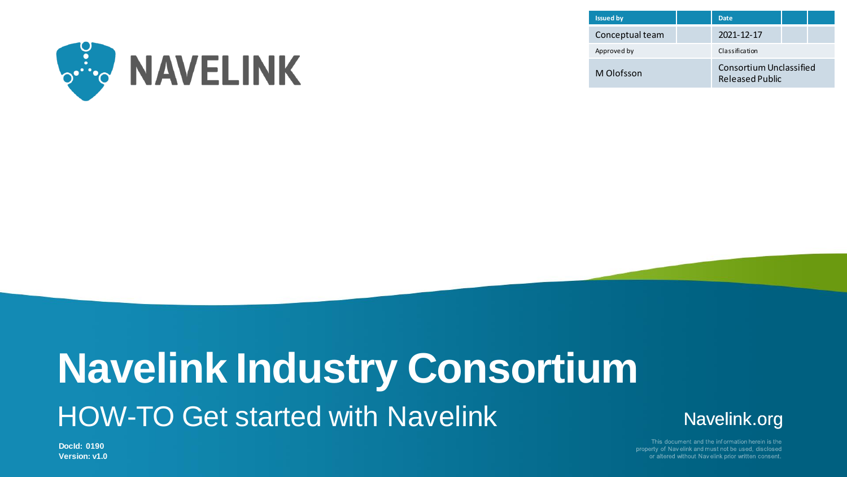

| <b>Issued by</b> |  | <b>Date</b>                                |  |  |
|------------------|--|--------------------------------------------|--|--|
| Conceptual team  |  | 2021-12-17                                 |  |  |
| Approved by      |  | Classification                             |  |  |
| M Olofsson       |  | Consortium Unclassified<br>Released Public |  |  |

# **Navelink Industry Consortium** HOW-TO Get started with Navelink



This document and the information herein is the property of Navelink and must not be used, disclosed or altered without Navelink prior written consent

**DocId: 0190 Version: v1.0**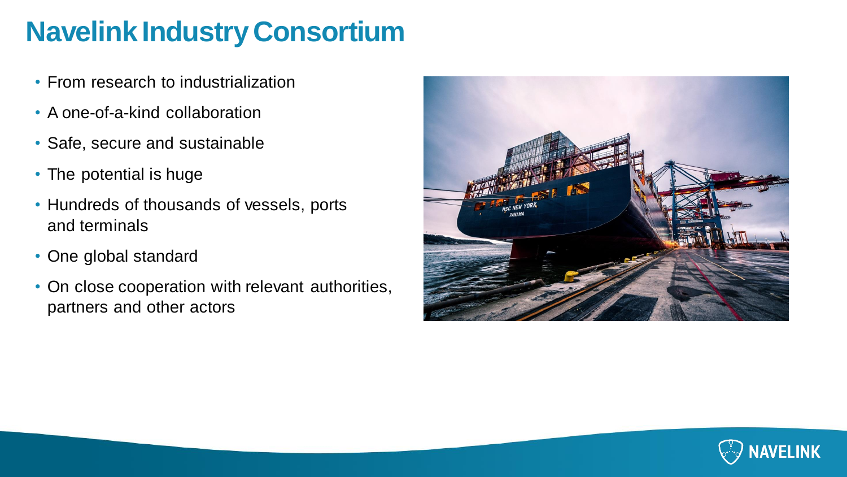# **Navelink Industry Consortium**

- From research to industrialization
- A one-of-a-kind collaboration
- Safe, secure and sustainable
- The potential is huge
- Hundreds of thousands of vessels, ports and terminals
- One global standard
- On close cooperation with relevant authorities, partners and other actors



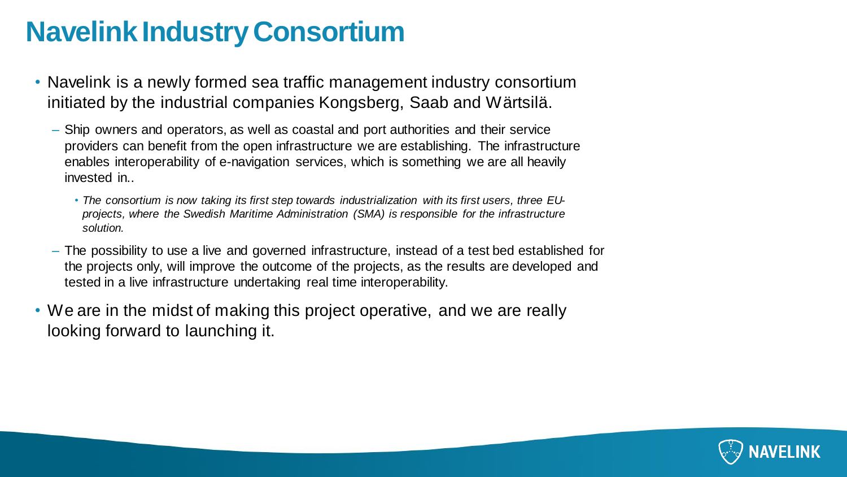# **Navelink Industry Consortium**

- Navelink is a newly formed sea traffic management industry consortium initiated by the industrial companies Kongsberg, Saab and Wärtsilä.
	- Ship owners and operators, as well as coastal and port authorities and their service providers can benefit from the open infrastructure we are establishing. The infrastructure enables interoperability of e-navigation services, which is something we are all heavily invested in..
		- *The consortium is now taking its first step towards industrialization with its first users, three EUprojects, where the Swedish Maritime Administration (SMA) is responsible for the infrastructure solution.*
	- The possibility to use a live and governed infrastructure, instead of a test bed established for the projects only, will improve the outcome of the projects, as the results are developed and tested in a live infrastructure undertaking real time interoperability.
- We are in the midst of making this project operative, and we are really looking forward to launching it.

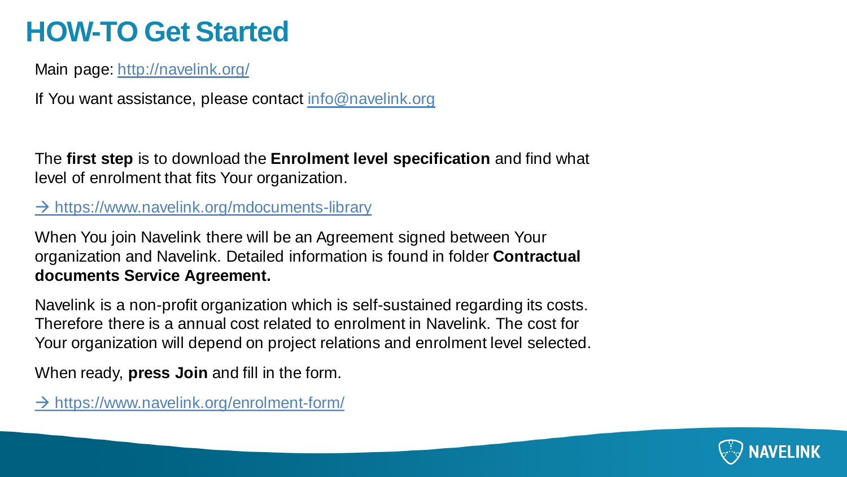# **HOW-TO Get Started**

Main page:<http://navelink.org/>

If You want assistance, please contact [info@navelink.org](mailto:info@navelink.org)

The **first step** is to download the **Enrolment level specification** and find what level of enrolment that fits Your organization.

### $\rightarrow$  <https://www.navelink.org/mdocuments-library>

When You join Navelink there will be an Agreement signed between Your organization and Navelink. Detailed information is found in folder **Contractual documents Service Agreement.**

Navelink is a non-profit organization which is self-sustained regarding its costs. Therefore there is a annual cost related to enrolment in Navelink. The cost for Your organization will depend on project relations and enrolment level selected.

When ready, **press Join** and fill in the form.

 $\rightarrow$  <https://www.navelink.org/enrolment-form/>

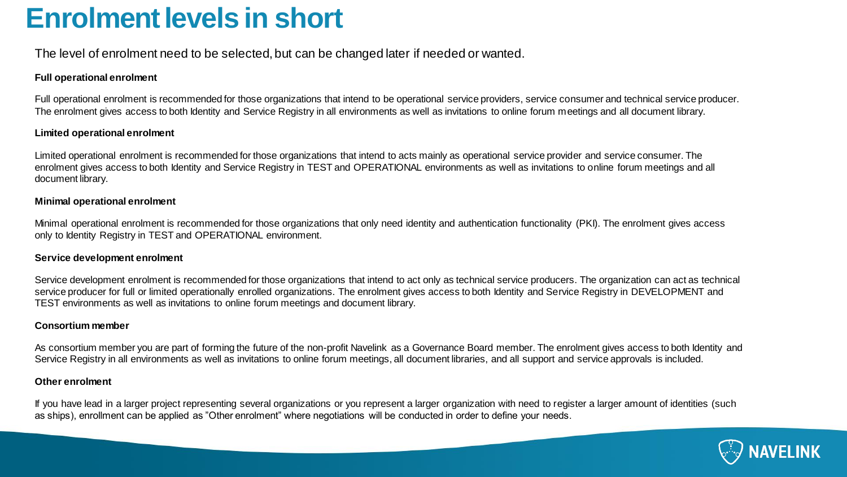### **Enrolment levels in short**

The level of enrolment need to be selected, but can be changed later if needed or wanted.

#### **Full operational enrolment**

Full operational enrolment is recommended for those organizations that intend to be operational service providers, service consumer and technical service producer. The enrolment gives access to both Identity and Service Registry in all environments as well as invitations to online forum meetings and all document library.

#### **Limited operational enrolment**

Limited operational enrolment is recommended for those organizations that intend to acts mainly as operational service provider and service consumer. The enrolment gives access to both Identity and Service Registry in TEST and OPERATIONAL environments as well as invitations to online forum meetings and all document library.

#### **Minimal operational enrolment**

Minimal operational enrolment is recommended for those organizations that only need identity and authentication functionality (PKI). The enrolment gives access only to Identity Registry in TEST and OPERATIONAL environment.

#### **Service development enrolment**

Service development enrolment is recommended for those organizations that intend to act only as technical service producers. The organization can act as technical service producer for full or limited operationally enrolled organizations. The enrolment gives access to both Identity and Service Registry in DEVELOPMENT and TEST environments as well as invitations to online forum meetings and document library.

#### **Consortium member**

As consortium member you are part of forming the future of the non-profit Navelink as a Governance Board member. The enrolment gives access to both Identity and Service Registry in all environments as well as invitations to online forum meetings, all document libraries, and all support and service approvals is included.

#### **Other enrolment**

If you have lead in a larger project representing several organizations or you represent a larger organization with need to register a larger amount of identities (such as ships), enrollment can be applied as "Other enrolment" where negotiations will be conducted in order to define your needs.

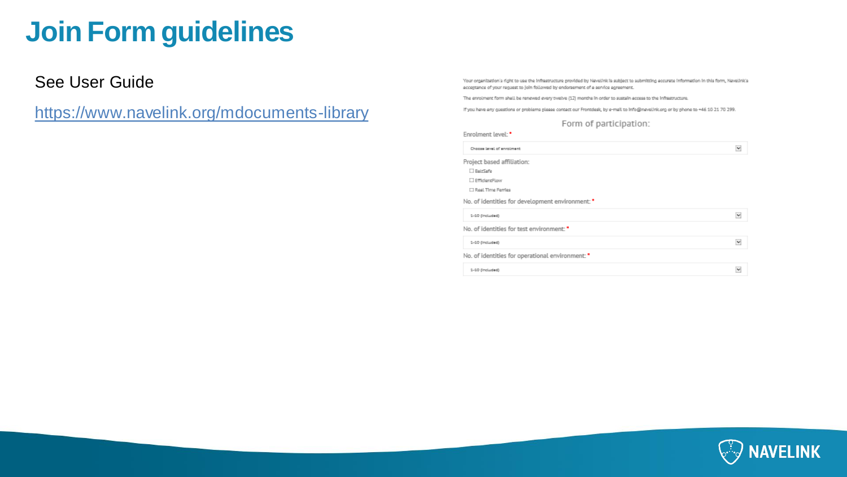# **Join Form guidelines**

See User Guide

<https://www.navelink.org/mdocuments-library>

Your organization's right to use the infrastructure provided by Navelink is subject to submitting accurate information in this form, Navelink's acceptance of your request to join followed by endorsement of a service agreement.

The enrolment form shall be renewed every twelve (12) months in order to sustain access to the inflastructure.

If you have any guestions or problems please contact our Frontdesk, by e-mail to info@navelink.org or by phone to +46.10.21.70.299.

#### Form of participation:

| Enrolment level: *                               |   |
|--------------------------------------------------|---|
| Chocas layed of enrolment                        | M |
| Project based affiliation:                       |   |
| BairSafe                                         |   |
| EfficientFlow                                    |   |
| □ Real Time Ferries                              |   |
| No. of identities for development environment: * |   |
| 1-10 (Included)                                  | v |
| No. of identities for test environment: "        |   |
| 1-10 (Included)                                  | M |
| No. of identities for operational environment: " |   |
| 1-10 (Included)                                  | M |

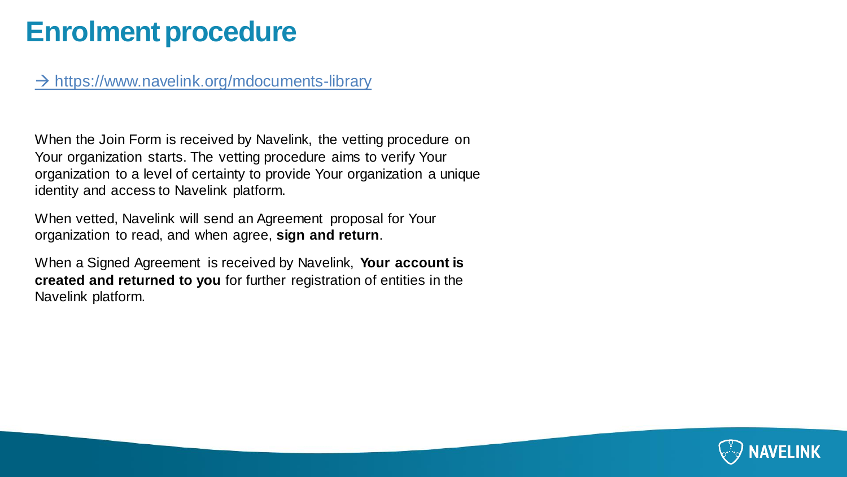### **Enrolment procedure**

#### → <https://www.navelink.org/mdocuments-library>

When the Join Form is received by Navelink, the vetting procedure on Your organization starts. The vetting procedure aims to verify Your organization to a level of certainty to provide Your organization a unique identity and access to Navelink platform.

When vetted, Navelink will send an Agreement proposal for Your organization to read, and when agree, **sign and return**.

When a Signed Agreement is received by Navelink, **Your account is created and returned to you** for further registration of entities in the Navelink platform.

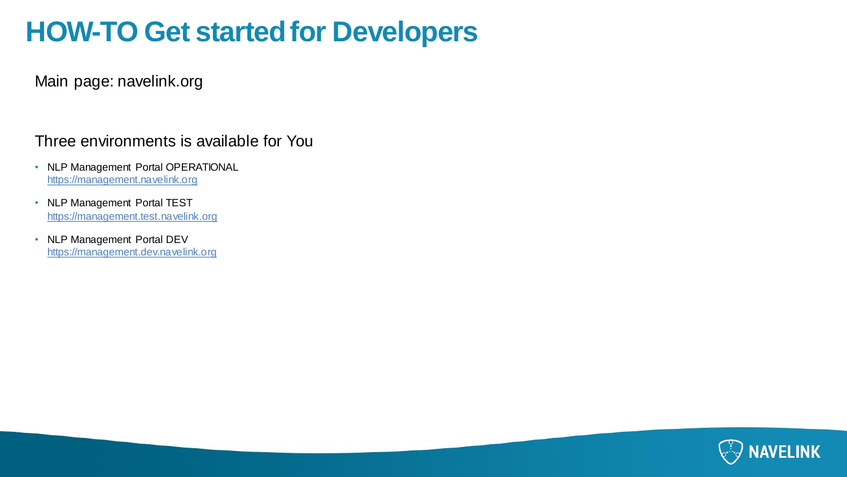# **HOW-TO Get started for Developers**

Main page: navelink.org

#### Three environments is available for You

- NLP Management Portal OPERATIONAL <https://management.navelink.org>
- NLP Management Portal TEST <https://management.test.navelink.org>
- NLP Management Portal DEV <https://management.dev.navelink.org>

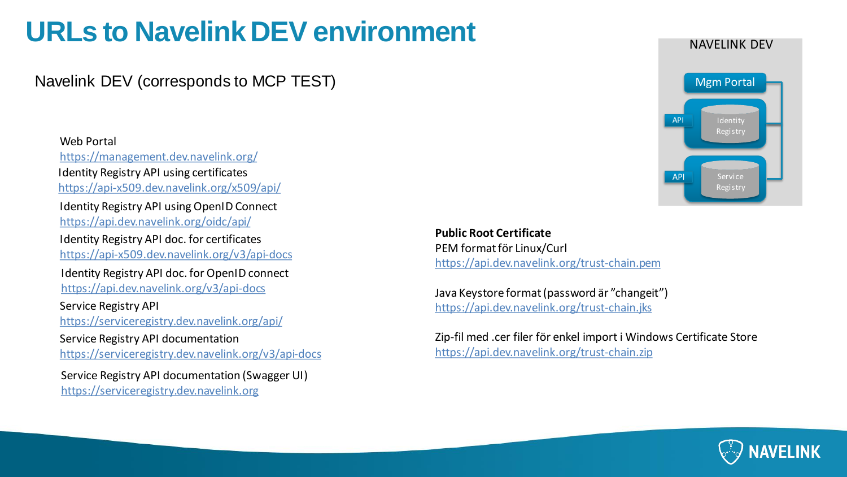# **URLs to NavelinkDEV environment**

### Navelink DEV (corresponds to MCP TEST)

#### Web Portal <https://management.dev.navelink.org/> Identity Registry API usingOpenID Connect <https://api.dev.navelink.org/oidc/api/> Identity Registry API doc. for certificates <https://api-x509.dev.navelink.org/v3/api-docs> Identity Registry API using certificates <https://api-x509.dev.navelink.org/x509/api/> Identity Registry API doc. for OpenID connect

<https://api.dev.navelink.org/v3/api-docs>

Service Registry API <https://serviceregistry.dev.navelink.org/api/>

Service Registry API documentation

<https://serviceregistry.dev.navelink.org/v3/api-docs>

Service Registry API documentation (Swagger UI) <https://serviceregistry.dev.navelink.org>

**Public Root Certificate** PEM format för Linux/Curl <https://api.dev.navelink.org/trust-chain.pem>

Java Keystore format (password är "changeit") <https://api.dev.navelink.org/trust-chain.jks>

Zip-fil med .cer filer för enkel import i Windows Certificate Store <https://api.dev.navelink.org/trust-chain.zip>





#### NAVELINK DEV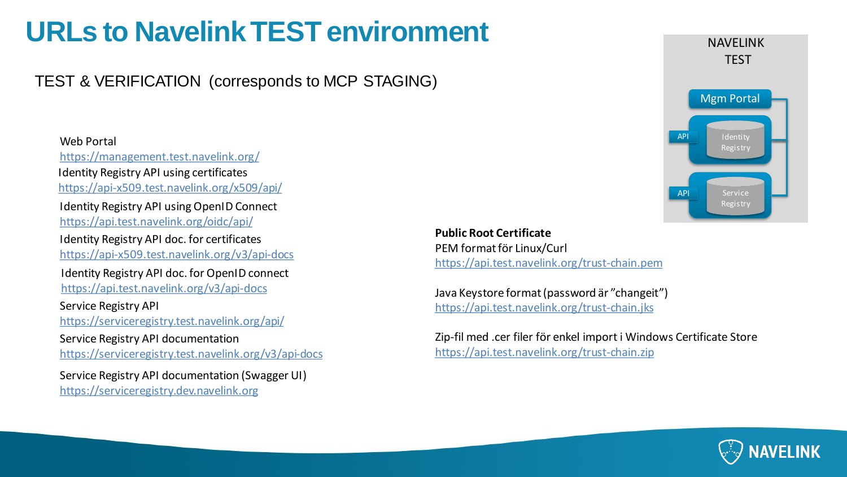# **URLs to NavelinkTEST environment**

TEST & VERIFICATION (corresponds to MCP STAGING)

Web Portal <https://management.test.navelink.org/> Service Registry API <https://serviceregistry.test.navelink.org/api/> Identity Registry API usingOpenID Connect <https://api.test.navelink.org/oidc/api/> Identity Registry API doc. for certificates <https://api-x509.test.navelink.org/v3/api-docs> Service Registry API documentation <https://serviceregistry.test.navelink.org/v3/api-docs> Identity Registry API using certificates <https://api-x509.test.navelink.org/x509/api/> Identity Registry API doc. for OpenID connect <https://api.test.navelink.org/v3/api-docs> Service Registry API documentation (Swagger UI) <https://serviceregistry.dev.navelink.org>

NAVELINK **TEST** API Service Registry API Identity Registry Mgm Portal

**Public Root Certificate** PEM format för Linux/Curl <https://api.test.navelink.org/trust-chain.pem>

Java Keystore format (password är "changeit") <https://api.test.navelink.org/trust-chain.jks>

Zip-fil med .cer filer för enkel import i Windows Certificate Store <https://api.test.navelink.org/trust-chain.zip>

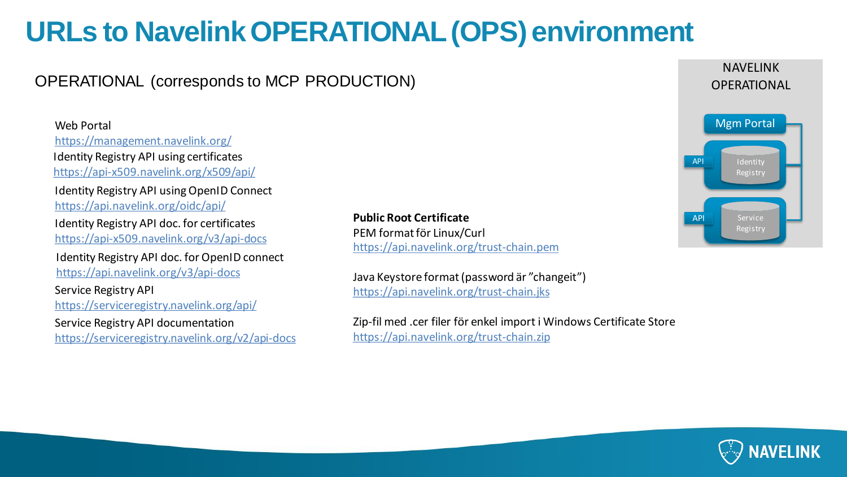# **URLs to NavelinkOPERATIONAL (OPS) environment**

### OPERATIONAL (corresponds to MCP PRODUCTION)

web Portal and Mgm Portal Mgm Portal Mgm Portal Mgm Portal Mgm Portal Mgm Portal Mgm Portal Mgm Portal Mgm Portal Mgm Portal Mgm Portal Mgm Portal Mgm Portal Mgm Portal Mgm Portal Mgm Portal Mgm Portal Mgm Portal Mgm Porta <https://management.navelink.org/> Service Registry API <https://serviceregistry.navelink.org/api/> Identity Registry API usingOpenID Connect <https://api.navelink.org/oidc/api/> Identity Registry API doc. for certificates <https://api-x509.navelink.org/v3/api-docs> Service Registry API documentation <https://serviceregistry.navelink.org/v2/api-docs> Identity Registry API using certificates <https://api-x509.navelink.org/x509/api/> Identity Registry API doc. for OpenID connect <https://api.navelink.org/v3/api-docs>

**Public Root Certificate** PEM format för Linux/Curl <https://api.navelink.org/trust-chain.pem>

Java Keystore format (password är "changeit") <https://api.navelink.org/trust-chain.jks>

Zip-fil med .cer filer för enkel import i Windows Certificate Store <https://api.navelink.org/trust-chain.zip>



NAVELINK **OPERATIONAL**